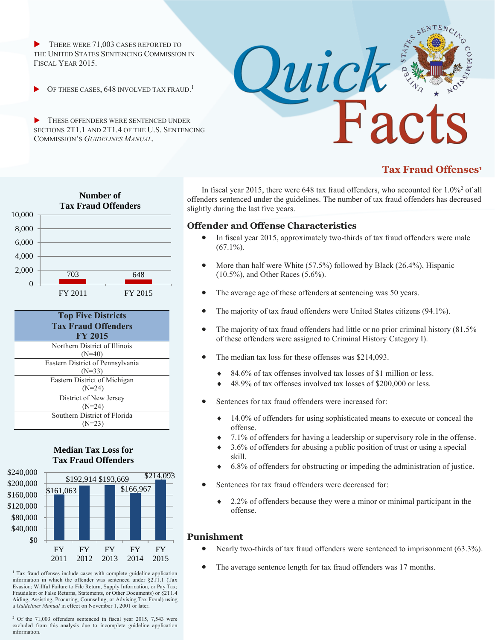THERE WERE 71,003 CASES REPORTED TO THE UNITED STATES SENTENCING COMMISSION IN FISCAL YEAR 2015.

**• OF THESE CASES, 648 INVOLVED TAX FRAUD.**<sup>1</sup>

 THESE OFFENDERS WERE SENTENCED UNDER SECTIONS 2T1.1 AND 2T1.4 OF THE U.S. SENTENCING COMMISSION'S *GUIDELINES MANUAL*.



# **Tax Fraud Offenses<sup>1</sup>**





### **Median Tax Loss for Tax Fraud Offenders**



<sup>1</sup> Tax fraud offenses include cases with complete guideline application information in which the offender was sentenced under §2T1.1 (Tax Evasion; Willful Failure to File Return, Supply Information, or Pay Tax; Fraudulent or False Returns, Statements, or Other Documents) or §2T1.4 Aiding, Assisting, Procuring, Counseling, or Advising Tax Fraud) using a *Guidelines Manual* in effect on November 1, 2001 or later.

<sup>2</sup> Of the 71,003 offenders sentenced in fiscal year 2015, 7,543 were excluded from this analysis due to incomplete guideline application information.

In fiscal year 2015, there were 648 tax fraud offenders, who accounted for  $1.0\%$ <sup>2</sup> of all offenders sentenced under the guidelines. The number of tax fraud offenders has decreased slightly during the last five years.

## **Offender and Offense Characteristics**

- In fiscal year 2015, approximately two-thirds of tax fraud offenders were male  $(67.1\%)$ .
- More than half were White (57.5%) followed by Black (26.4%), Hispanic (10.5%), and Other Races (5.6%).
- The average age of these offenders at sentencing was 50 years.
- The majority of tax fraud offenders were United States citizens (94.1%).
- The majority of tax fraud offenders had little or no prior criminal history (81.5% of these offenders were assigned to Criminal History Category I).
- The median tax loss for these offenses was \$214,093.
	- 84.6% of tax offenses involved tax losses of \$1 million or less.
	- ◆ 48.9% of tax offenses involved tax losses of \$200,000 or less.
- Sentences for tax fraud offenders were increased for:
	- $\triangle$  14.0% of offenders for using sophisticated means to execute or conceal the offense.
	- 7.1% of offenders for having a leadership or supervisory role in the offense.
	- 3.6% of offenders for abusing a public position of trust or using a special skill.
	- 6.8% of offenders for obstructing or impeding the administration of justice.
- Sentences for tax fraud offenders were decreased for:
	- 2.2% of offenders because they were a minor or minimal participant in the offense.

## **Punishment**

- Nearly two-thirds of tax fraud offenders were sentenced to imprisonment (63.3%).
- The average sentence length for tax fraud offenders was 17 months.